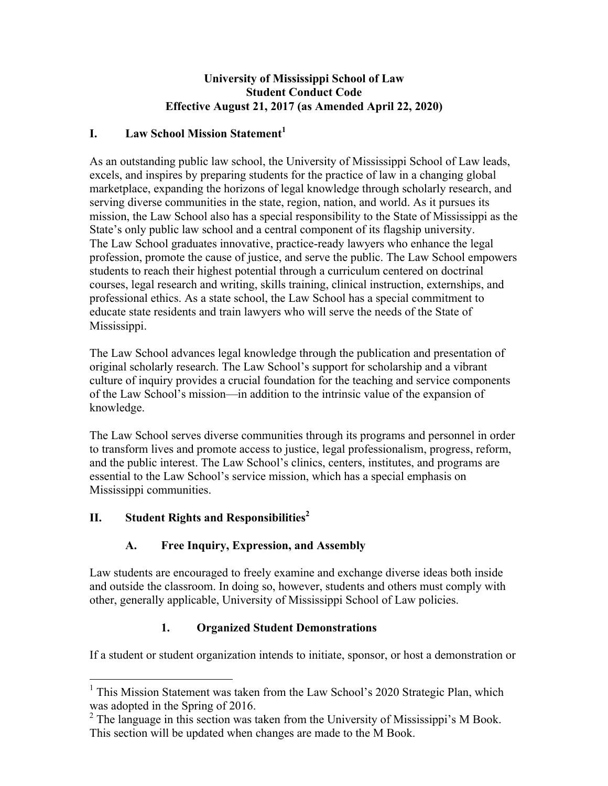#### **University of Mississippi School of Law Student Conduct Code Effective August 21, 2017 (as Amended April 22, 2020)**

### **I. Law School Mission Statement<sup>1</sup>**

As an outstanding public law school, the University of Mississippi School of Law leads, excels, and inspires by preparing students for the practice of law in a changing global marketplace, expanding the horizons of legal knowledge through scholarly research, and serving diverse communities in the state, region, nation, and world. As it pursues its mission, the Law School also has a special responsibility to the State of Mississippi as the State's only public law school and a central component of its flagship university. The Law School graduates innovative, practice-ready lawyers who enhance the legal profession, promote the cause of justice, and serve the public. The Law School empowers students to reach their highest potential through a curriculum centered on doctrinal courses, legal research and writing, skills training, clinical instruction, externships, and professional ethics. As a state school, the Law School has a special commitment to educate state residents and train lawyers who will serve the needs of the State of Mississippi.

The Law School advances legal knowledge through the publication and presentation of original scholarly research. The Law School's support for scholarship and a vibrant culture of inquiry provides a crucial foundation for the teaching and service components of the Law School's mission—in addition to the intrinsic value of the expansion of knowledge.

The Law School serves diverse communities through its programs and personnel in order to transform lives and promote access to justice, legal professionalism, progress, reform, and the public interest. The Law School's clinics, centers, institutes, and programs are essential to the Law School's service mission, which has a special emphasis on Mississippi communities.

# **II.** Student Rights and Responsibilities<sup>2</sup>

# **A. Free Inquiry, Expression, and Assembly**

Law students are encouraged to freely examine and exchange diverse ideas both inside and outside the classroom. In doing so, however, students and others must comply with other, generally applicable, University of Mississippi School of Law policies.

# **1. Organized Student Demonstrations**

If a student or student organization intends to initiate, sponsor, or host a demonstration or

<sup>&</sup>lt;sup>1</sup> This Mission Statement was taken from the Law School's 2020 Strategic Plan, which was adopted in the Spring of 2016.

<sup>&</sup>lt;sup>2</sup> The language in this section was taken from the University of Mississippi's M Book. This section will be updated when changes are made to the M Book.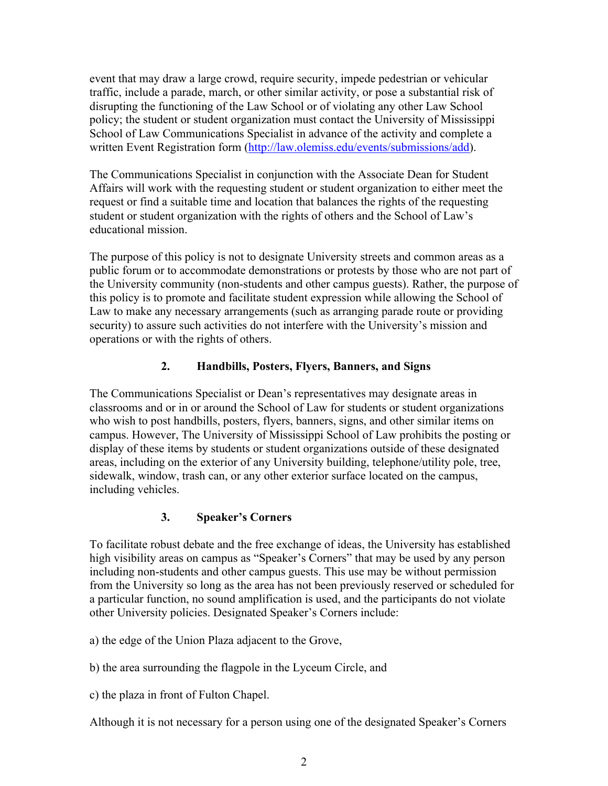event that may draw a large crowd, require security, impede pedestrian or vehicular traffic, include a parade, march, or other similar activity, or pose a substantial risk of disrupting the functioning of the Law School or of violating any other Law School policy; the student or student organization must contact the University of Mississippi School of Law Communications Specialist in advance of the activity and complete a written Event Registration form (http://law.olemiss.edu/events/submissions/add).

The Communications Specialist in conjunction with the Associate Dean for Student Affairs will work with the requesting student or student organization to either meet the request or find a suitable time and location that balances the rights of the requesting student or student organization with the rights of others and the School of Law's educational mission.

The purpose of this policy is not to designate University streets and common areas as a public forum or to accommodate demonstrations or protests by those who are not part of the University community (non-students and other campus guests). Rather, the purpose of this policy is to promote and facilitate student expression while allowing the School of Law to make any necessary arrangements (such as arranging parade route or providing security) to assure such activities do not interfere with the University's mission and operations or with the rights of others.

# **2. Handbills, Posters, Flyers, Banners, and Signs**

The Communications Specialist or Dean's representatives may designate areas in classrooms and or in or around the School of Law for students or student organizations who wish to post handbills, posters, flyers, banners, signs, and other similar items on campus. However, The University of Mississippi School of Law prohibits the posting or display of these items by students or student organizations outside of these designated areas, including on the exterior of any University building, telephone/utility pole, tree, sidewalk, window, trash can, or any other exterior surface located on the campus, including vehicles.

# **3. Speaker's Corners**

To facilitate robust debate and the free exchange of ideas, the University has established high visibility areas on campus as "Speaker's Corners" that may be used by any person including non-students and other campus guests. This use may be without permission from the University so long as the area has not been previously reserved or scheduled for a particular function, no sound amplification is used, and the participants do not violate other University policies. Designated Speaker's Corners include:

- a) the edge of the Union Plaza adjacent to the Grove,
- b) the area surrounding the flagpole in the Lyceum Circle, and

c) the plaza in front of Fulton Chapel.

Although it is not necessary for a person using one of the designated Speaker's Corners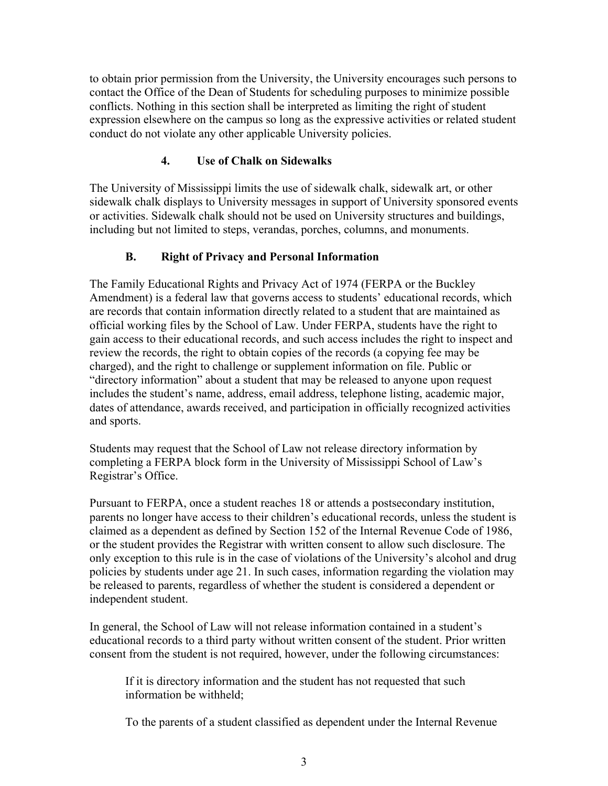to obtain prior permission from the University, the University encourages such persons to contact the Office of the Dean of Students for scheduling purposes to minimize possible conflicts. Nothing in this section shall be interpreted as limiting the right of student expression elsewhere on the campus so long as the expressive activities or related student conduct do not violate any other applicable University policies.

# **4. Use of Chalk on Sidewalks**

The University of Mississippi limits the use of sidewalk chalk, sidewalk art, or other sidewalk chalk displays to University messages in support of University sponsored events or activities. Sidewalk chalk should not be used on University structures and buildings, including but not limited to steps, verandas, porches, columns, and monuments.

### **B. Right of Privacy and Personal Information**

The Family Educational Rights and Privacy Act of 1974 (FERPA or the Buckley Amendment) is a federal law that governs access to students' educational records, which are records that contain information directly related to a student that are maintained as official working files by the School of Law. Under FERPA, students have the right to gain access to their educational records, and such access includes the right to inspect and review the records, the right to obtain copies of the records (a copying fee may be charged), and the right to challenge or supplement information on file. Public or "directory information" about a student that may be released to anyone upon request includes the student's name, address, email address, telephone listing, academic major, dates of attendance, awards received, and participation in officially recognized activities and sports.

Students may request that the School of Law not release directory information by completing a FERPA block form in the University of Mississippi School of Law's Registrar's Office.

Pursuant to FERPA, once a student reaches 18 or attends a postsecondary institution, parents no longer have access to their children's educational records, unless the student is claimed as a dependent as defined by Section 152 of the Internal Revenue Code of 1986, or the student provides the Registrar with written consent to allow such disclosure. The only exception to this rule is in the case of violations of the University's alcohol and drug policies by students under age 21. In such cases, information regarding the violation may be released to parents, regardless of whether the student is considered a dependent or independent student.

In general, the School of Law will not release information contained in a student's educational records to a third party without written consent of the student. Prior written consent from the student is not required, however, under the following circumstances:

If it is directory information and the student has not requested that such information be withheld;

To the parents of a student classified as dependent under the Internal Revenue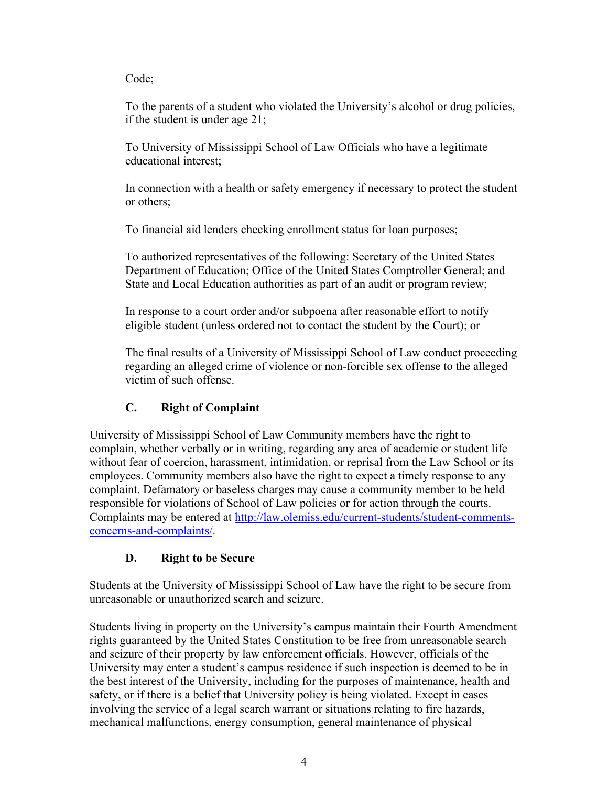#### Code;

To the parents of a student who violated the University's alcohol or drug policies, if the student is under age 21;

To University of Mississippi School of Law Officials who have a legitimate educational interest;

In connection with a health or safety emergency if necessary to protect the student or others;

To financial aid lenders checking enrollment status for loan purposes;

To authorized representatives of the following: Secretary of the United States Department of Education; Office of the United States Comptroller General; and State and Local Education authorities as part of an audit or program review;

In response to a court order and/or subpoena after reasonable effort to notify eligible student (unless ordered not to contact the student by the Court); or

The final results of a University of Mississippi School of Law conduct proceeding regarding an alleged crime of violence or non-forcible sex offense to the alleged victim of such offense.

# **C. Right of Complaint**

University of Mississippi School of Law Community members have the right to complain, whether verbally or in writing, regarding any area of academic or student life without fear of coercion, harassment, intimidation, or reprisal from the Law School or its employees. Community members also have the right to expect a timely response to any complaint. Defamatory or baseless charges may cause a community member to be held responsible for violations of School of Law policies or for action through the courts. Complaints may be entered at http://law.olemiss.edu/current-students/student-commentsconcerns-and-complaints/.

# **D. Right to be Secure**

Students at the University of Mississippi School of Law have the right to be secure from unreasonable or unauthorized search and seizure.

Students living in property on the University's campus maintain their Fourth Amendment rights guaranteed by the United States Constitution to be free from unreasonable search and seizure of their property by law enforcement officials. However, officials of the University may enter a student's campus residence if such inspection is deemed to be in the best interest of the University, including for the purposes of maintenance, health and safety, or if there is a belief that University policy is being violated. Except in cases involving the service of a legal search warrant or situations relating to fire hazards, mechanical malfunctions, energy consumption, general maintenance of physical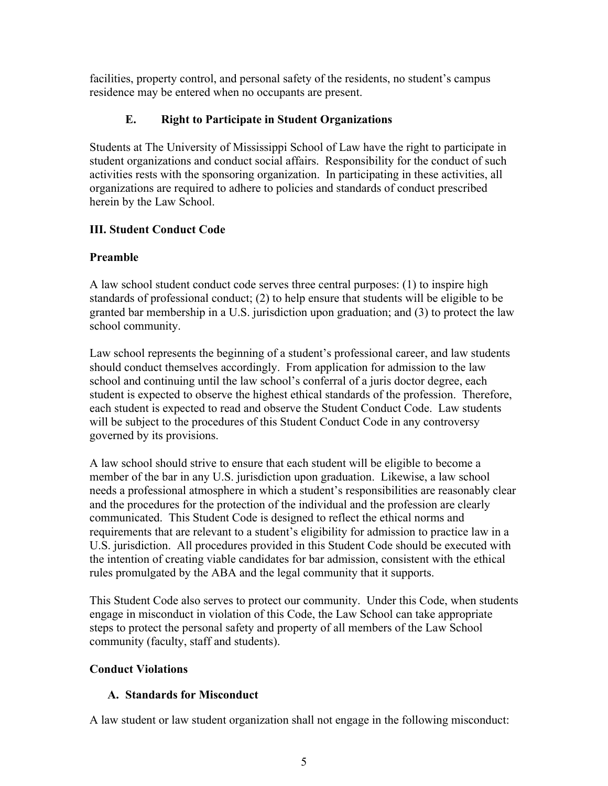facilities, property control, and personal safety of the residents, no student's campus residence may be entered when no occupants are present.

# **E. Right to Participate in Student Organizations**

Students at The University of Mississippi School of Law have the right to participate in student organizations and conduct social affairs. Responsibility for the conduct of such activities rests with the sponsoring organization. In participating in these activities, all organizations are required to adhere to policies and standards of conduct prescribed herein by the Law School.

### **III. Student Conduct Code**

### **Preamble**

A law school student conduct code serves three central purposes: (1) to inspire high standards of professional conduct; (2) to help ensure that students will be eligible to be granted bar membership in a U.S. jurisdiction upon graduation; and (3) to protect the law school community.

Law school represents the beginning of a student's professional career, and law students should conduct themselves accordingly. From application for admission to the law school and continuing until the law school's conferral of a juris doctor degree, each student is expected to observe the highest ethical standards of the profession. Therefore, each student is expected to read and observe the Student Conduct Code. Law students will be subject to the procedures of this Student Conduct Code in any controversy governed by its provisions.

A law school should strive to ensure that each student will be eligible to become a member of the bar in any U.S. jurisdiction upon graduation. Likewise, a law school needs a professional atmosphere in which a student's responsibilities are reasonably clear and the procedures for the protection of the individual and the profession are clearly communicated. This Student Code is designed to reflect the ethical norms and requirements that are relevant to a student's eligibility for admission to practice law in a U.S. jurisdiction. All procedures provided in this Student Code should be executed with the intention of creating viable candidates for bar admission, consistent with the ethical rules promulgated by the ABA and the legal community that it supports.

This Student Code also serves to protect our community. Under this Code, when students engage in misconduct in violation of this Code, the Law School can take appropriate steps to protect the personal safety and property of all members of the Law School community (faculty, staff and students).

#### **Conduct Violations**

#### **A. Standards for Misconduct**

A law student or law student organization shall not engage in the following misconduct: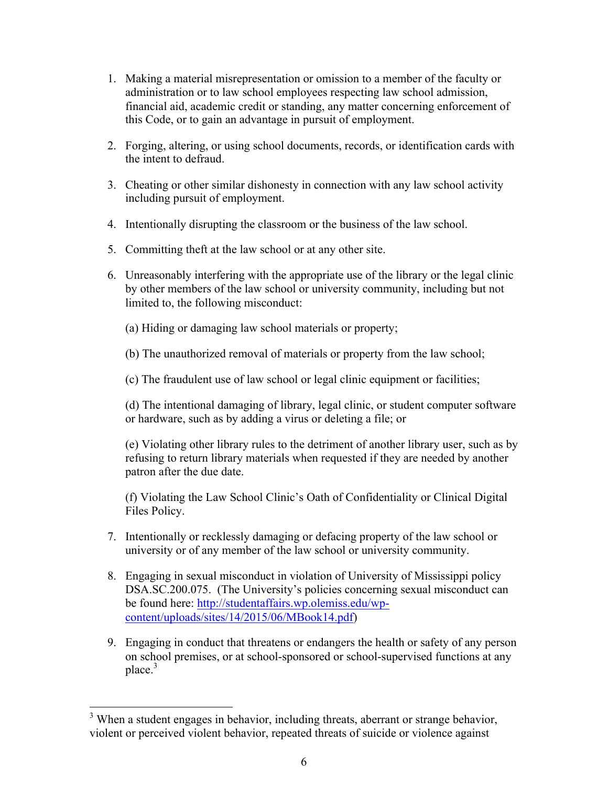- 1. Making a material misrepresentation or omission to a member of the faculty or administration or to law school employees respecting law school admission, financial aid, academic credit or standing, any matter concerning enforcement of this Code, or to gain an advantage in pursuit of employment.
- 2. Forging, altering, or using school documents, records, or identification cards with the intent to defraud.
- 3. Cheating or other similar dishonesty in connection with any law school activity including pursuit of employment.
- 4. Intentionally disrupting the classroom or the business of the law school.
- 5. Committing theft at the law school or at any other site.
- 6. Unreasonably interfering with the appropriate use of the library or the legal clinic by other members of the law school or university community, including but not limited to, the following misconduct:
	- (a) Hiding or damaging law school materials or property;
	- (b) The unauthorized removal of materials or property from the law school;
	- (c) The fraudulent use of law school or legal clinic equipment or facilities;

(d) The intentional damaging of library, legal clinic, or student computer software or hardware, such as by adding a virus or deleting a file; or

(e) Violating other library rules to the detriment of another library user, such as by refusing to return library materials when requested if they are needed by another patron after the due date.

(f) Violating the Law School Clinic's Oath of Confidentiality or Clinical Digital Files Policy.

- 7. Intentionally or recklessly damaging or defacing property of the law school or university or of any member of the law school or university community.
- 8. Engaging in sexual misconduct in violation of University of Mississippi policy DSA.SC.200.075. (The University's policies concerning sexual misconduct can be found here: http://studentaffairs.wp.olemiss.edu/wpcontent/uploads/sites/14/2015/06/MBook14.pdf)
- 9. Engaging in conduct that threatens or endangers the health or safety of any person on school premises, or at school-sponsored or school-supervised functions at any  $place<sup>3</sup>$

<sup>&</sup>lt;sup>3</sup> When a student engages in behavior, including threats, aberrant or strange behavior, violent or perceived violent behavior, repeated threats of suicide or violence against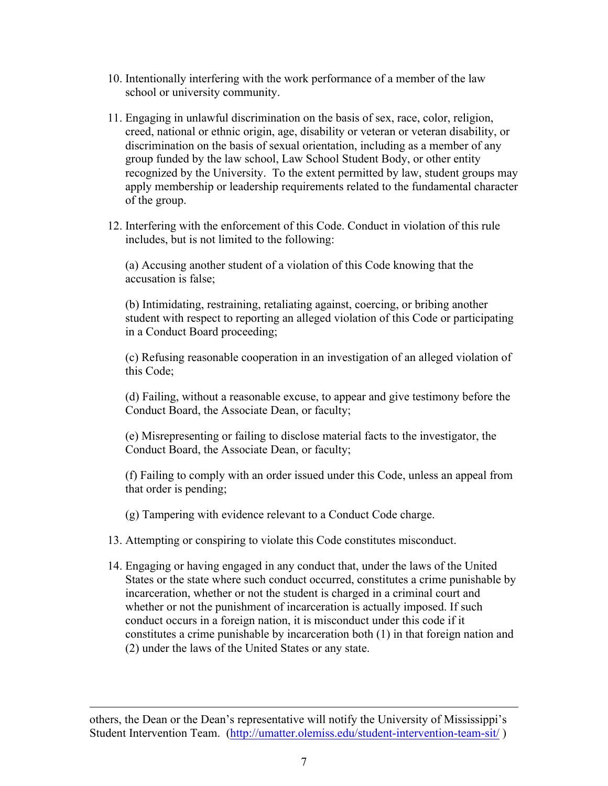- 10. Intentionally interfering with the work performance of a member of the law school or university community.
- 11. Engaging in unlawful discrimination on the basis of sex, race, color, religion, creed, national or ethnic origin, age, disability or veteran or veteran disability, or discrimination on the basis of sexual orientation, including as a member of any group funded by the law school, Law School Student Body, or other entity recognized by the University. To the extent permitted by law, student groups may apply membership or leadership requirements related to the fundamental character of the group.
- 12. Interfering with the enforcement of this Code. Conduct in violation of this rule includes, but is not limited to the following:

(a) Accusing another student of a violation of this Code knowing that the accusation is false;

(b) Intimidating, restraining, retaliating against, coercing, or bribing another student with respect to reporting an alleged violation of this Code or participating in a Conduct Board proceeding;

(c) Refusing reasonable cooperation in an investigation of an alleged violation of this Code;

(d) Failing, without a reasonable excuse, to appear and give testimony before the Conduct Board, the Associate Dean, or faculty;

(e) Misrepresenting or failing to disclose material facts to the investigator, the Conduct Board, the Associate Dean, or faculty;

(f) Failing to comply with an order issued under this Code, unless an appeal from that order is pending;

(g) Tampering with evidence relevant to a Conduct Code charge.

- 13. Attempting or conspiring to violate this Code constitutes misconduct.
- 14. Engaging or having engaged in any conduct that, under the laws of the United States or the state where such conduct occurred, constitutes a crime punishable by incarceration, whether or not the student is charged in a criminal court and whether or not the punishment of incarceration is actually imposed. If such conduct occurs in a foreign nation, it is misconduct under this code if it constitutes a crime punishable by incarceration both (1) in that foreign nation and (2) under the laws of the United States or any state.

1

others, the Dean or the Dean's representative will notify the University of Mississippi's Student Intervention Team. (http://umatter.olemiss.edu/student-intervention-team-sit/ )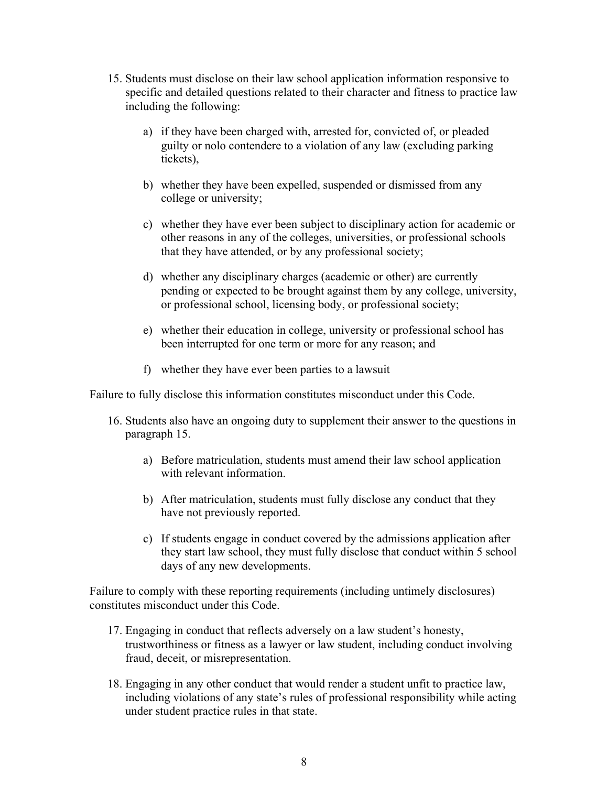- 15. Students must disclose on their law school application information responsive to specific and detailed questions related to their character and fitness to practice law including the following:
	- a) if they have been charged with, arrested for, convicted of, or pleaded guilty or nolo contendere to a violation of any law (excluding parking tickets),
	- b) whether they have been expelled, suspended or dismissed from any college or university;
	- c) whether they have ever been subject to disciplinary action for academic or other reasons in any of the colleges, universities, or professional schools that they have attended, or by any professional society;
	- d) whether any disciplinary charges (academic or other) are currently pending or expected to be brought against them by any college, university, or professional school, licensing body, or professional society;
	- e) whether their education in college, university or professional school has been interrupted for one term or more for any reason; and
	- f) whether they have ever been parties to a lawsuit

Failure to fully disclose this information constitutes misconduct under this Code.

- 16. Students also have an ongoing duty to supplement their answer to the questions in paragraph 15.
	- a) Before matriculation, students must amend their law school application with relevant information.
	- b) After matriculation, students must fully disclose any conduct that they have not previously reported.
	- c) If students engage in conduct covered by the admissions application after they start law school, they must fully disclose that conduct within 5 school days of any new developments.

Failure to comply with these reporting requirements (including untimely disclosures) constitutes misconduct under this Code.

- 17. Engaging in conduct that reflects adversely on a law student's honesty, trustworthiness or fitness as a lawyer or law student, including conduct involving fraud, deceit, or misrepresentation.
- 18. Engaging in any other conduct that would render a student unfit to practice law, including violations of any state's rules of professional responsibility while acting under student practice rules in that state.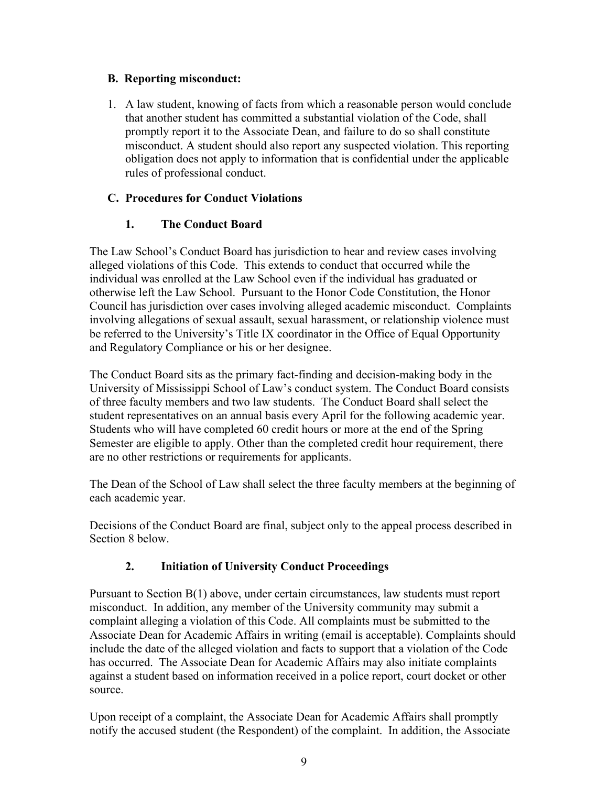#### **B. Reporting misconduct:**

1. A law student, knowing of facts from which a reasonable person would conclude that another student has committed a substantial violation of the Code, shall promptly report it to the Associate Dean, and failure to do so shall constitute misconduct. A student should also report any suspected violation. This reporting obligation does not apply to information that is confidential under the applicable rules of professional conduct.

# **C. Procedures for Conduct Violations**

# **1. The Conduct Board**

The Law School's Conduct Board has jurisdiction to hear and review cases involving alleged violations of this Code. This extends to conduct that occurred while the individual was enrolled at the Law School even if the individual has graduated or otherwise left the Law School. Pursuant to the Honor Code Constitution, the Honor Council has jurisdiction over cases involving alleged academic misconduct. Complaints involving allegations of sexual assault, sexual harassment, or relationship violence must be referred to the University's Title IX coordinator in the Office of Equal Opportunity and Regulatory Compliance or his or her designee.

The Conduct Board sits as the primary fact-finding and decision-making body in the University of Mississippi School of Law's conduct system. The Conduct Board consists of three faculty members and two law students. The Conduct Board shall select the student representatives on an annual basis every April for the following academic year. Students who will have completed 60 credit hours or more at the end of the Spring Semester are eligible to apply. Other than the completed credit hour requirement, there are no other restrictions or requirements for applicants.

The Dean of the School of Law shall select the three faculty members at the beginning of each academic year.

Decisions of the Conduct Board are final, subject only to the appeal process described in Section 8 below.

# **2. Initiation of University Conduct Proceedings**

Pursuant to Section B(1) above, under certain circumstances, law students must report misconduct. In addition, any member of the University community may submit a complaint alleging a violation of this Code. All complaints must be submitted to the Associate Dean for Academic Affairs in writing (email is acceptable). Complaints should include the date of the alleged violation and facts to support that a violation of the Code has occurred. The Associate Dean for Academic Affairs may also initiate complaints against a student based on information received in a police report, court docket or other source.

Upon receipt of a complaint, the Associate Dean for Academic Affairs shall promptly notify the accused student (the Respondent) of the complaint. In addition, the Associate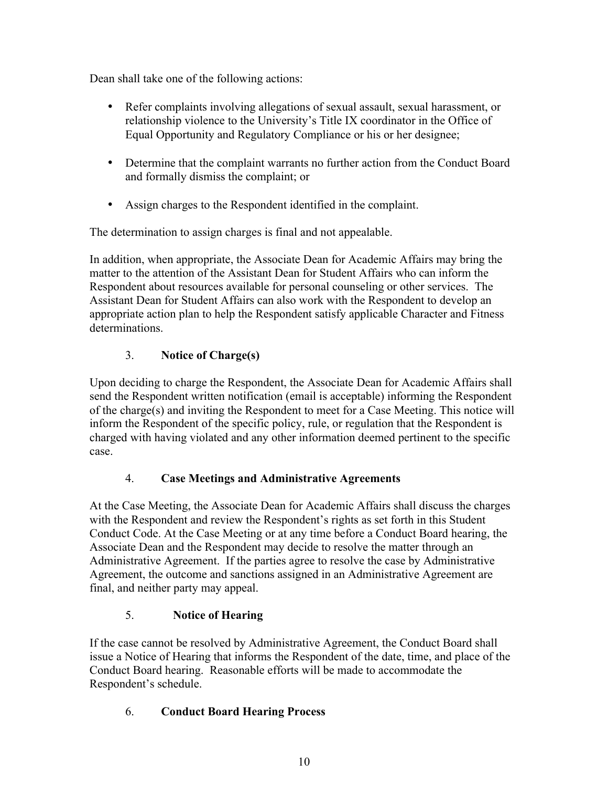Dean shall take one of the following actions:

- Refer complaints involving allegations of sexual assault, sexual harassment, or relationship violence to the University's Title IX coordinator in the Office of Equal Opportunity and Regulatory Compliance or his or her designee;
- Determine that the complaint warrants no further action from the Conduct Board and formally dismiss the complaint; or
- Assign charges to the Respondent identified in the complaint.

The determination to assign charges is final and not appealable.

In addition, when appropriate, the Associate Dean for Academic Affairs may bring the matter to the attention of the Assistant Dean for Student Affairs who can inform the Respondent about resources available for personal counseling or other services. The Assistant Dean for Student Affairs can also work with the Respondent to develop an appropriate action plan to help the Respondent satisfy applicable Character and Fitness determinations.

# 3. **Notice of Charge(s)**

Upon deciding to charge the Respondent, the Associate Dean for Academic Affairs shall send the Respondent written notification (email is acceptable) informing the Respondent of the charge(s) and inviting the Respondent to meet for a Case Meeting. This notice will inform the Respondent of the specific policy, rule, or regulation that the Respondent is charged with having violated and any other information deemed pertinent to the specific case.

# 4. **Case Meetings and Administrative Agreements**

At the Case Meeting, the Associate Dean for Academic Affairs shall discuss the charges with the Respondent and review the Respondent's rights as set forth in this Student Conduct Code. At the Case Meeting or at any time before a Conduct Board hearing, the Associate Dean and the Respondent may decide to resolve the matter through an Administrative Agreement. If the parties agree to resolve the case by Administrative Agreement, the outcome and sanctions assigned in an Administrative Agreement are final, and neither party may appeal.

# 5. **Notice of Hearing**

If the case cannot be resolved by Administrative Agreement, the Conduct Board shall issue a Notice of Hearing that informs the Respondent of the date, time, and place of the Conduct Board hearing. Reasonable efforts will be made to accommodate the Respondent's schedule.

# 6. **Conduct Board Hearing Process**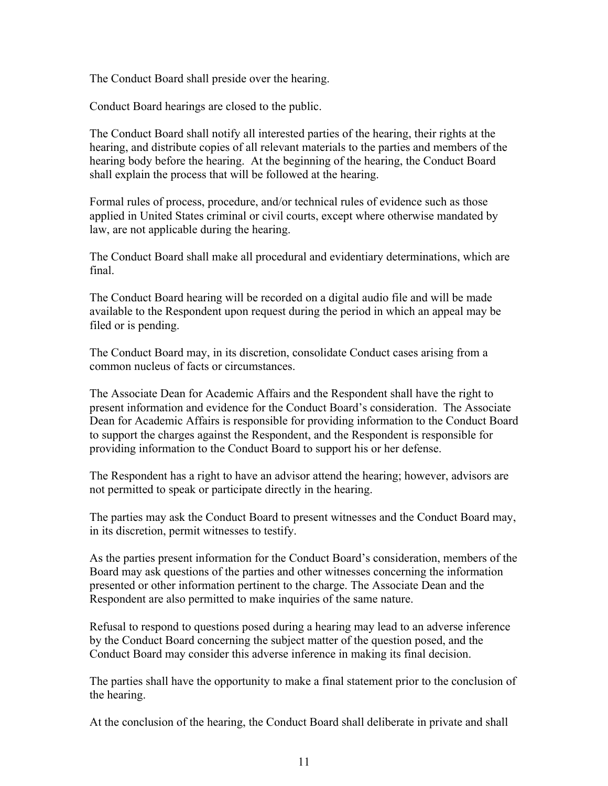The Conduct Board shall preside over the hearing.

Conduct Board hearings are closed to the public.

The Conduct Board shall notify all interested parties of the hearing, their rights at the hearing, and distribute copies of all relevant materials to the parties and members of the hearing body before the hearing. At the beginning of the hearing, the Conduct Board shall explain the process that will be followed at the hearing.

Formal rules of process, procedure, and/or technical rules of evidence such as those applied in United States criminal or civil courts, except where otherwise mandated by law, are not applicable during the hearing.

The Conduct Board shall make all procedural and evidentiary determinations, which are final.

The Conduct Board hearing will be recorded on a digital audio file and will be made available to the Respondent upon request during the period in which an appeal may be filed or is pending.

The Conduct Board may, in its discretion, consolidate Conduct cases arising from a common nucleus of facts or circumstances.

The Associate Dean for Academic Affairs and the Respondent shall have the right to present information and evidence for the Conduct Board's consideration. The Associate Dean for Academic Affairs is responsible for providing information to the Conduct Board to support the charges against the Respondent, and the Respondent is responsible for providing information to the Conduct Board to support his or her defense.

The Respondent has a right to have an advisor attend the hearing; however, advisors are not permitted to speak or participate directly in the hearing.

The parties may ask the Conduct Board to present witnesses and the Conduct Board may, in its discretion, permit witnesses to testify.

As the parties present information for the Conduct Board's consideration, members of the Board may ask questions of the parties and other witnesses concerning the information presented or other information pertinent to the charge. The Associate Dean and the Respondent are also permitted to make inquiries of the same nature.

Refusal to respond to questions posed during a hearing may lead to an adverse inference by the Conduct Board concerning the subject matter of the question posed, and the Conduct Board may consider this adverse inference in making its final decision.

The parties shall have the opportunity to make a final statement prior to the conclusion of the hearing.

At the conclusion of the hearing, the Conduct Board shall deliberate in private and shall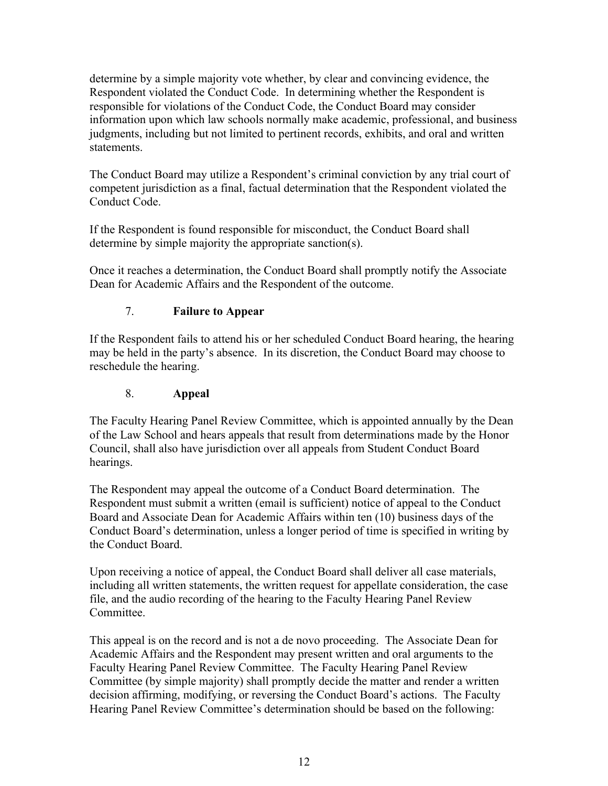determine by a simple majority vote whether, by clear and convincing evidence, the Respondent violated the Conduct Code. In determining whether the Respondent is responsible for violations of the Conduct Code, the Conduct Board may consider information upon which law schools normally make academic, professional, and business judgments, including but not limited to pertinent records, exhibits, and oral and written statements.

The Conduct Board may utilize a Respondent's criminal conviction by any trial court of competent jurisdiction as a final, factual determination that the Respondent violated the Conduct Code.

If the Respondent is found responsible for misconduct, the Conduct Board shall determine by simple majority the appropriate sanction(s).

Once it reaches a determination, the Conduct Board shall promptly notify the Associate Dean for Academic Affairs and the Respondent of the outcome.

# 7. **Failure to Appear**

If the Respondent fails to attend his or her scheduled Conduct Board hearing, the hearing may be held in the party's absence. In its discretion, the Conduct Board may choose to reschedule the hearing.

# 8. **Appeal**

The Faculty Hearing Panel Review Committee, which is appointed annually by the Dean of the Law School and hears appeals that result from determinations made by the Honor Council, shall also have jurisdiction over all appeals from Student Conduct Board hearings.

The Respondent may appeal the outcome of a Conduct Board determination. The Respondent must submit a written (email is sufficient) notice of appeal to the Conduct Board and Associate Dean for Academic Affairs within ten (10) business days of the Conduct Board's determination, unless a longer period of time is specified in writing by the Conduct Board.

Upon receiving a notice of appeal, the Conduct Board shall deliver all case materials, including all written statements, the written request for appellate consideration, the case file, and the audio recording of the hearing to the Faculty Hearing Panel Review Committee.

This appeal is on the record and is not a de novo proceeding. The Associate Dean for Academic Affairs and the Respondent may present written and oral arguments to the Faculty Hearing Panel Review Committee. The Faculty Hearing Panel Review Committee (by simple majority) shall promptly decide the matter and render a written decision affirming, modifying, or reversing the Conduct Board's actions. The Faculty Hearing Panel Review Committee's determination should be based on the following: